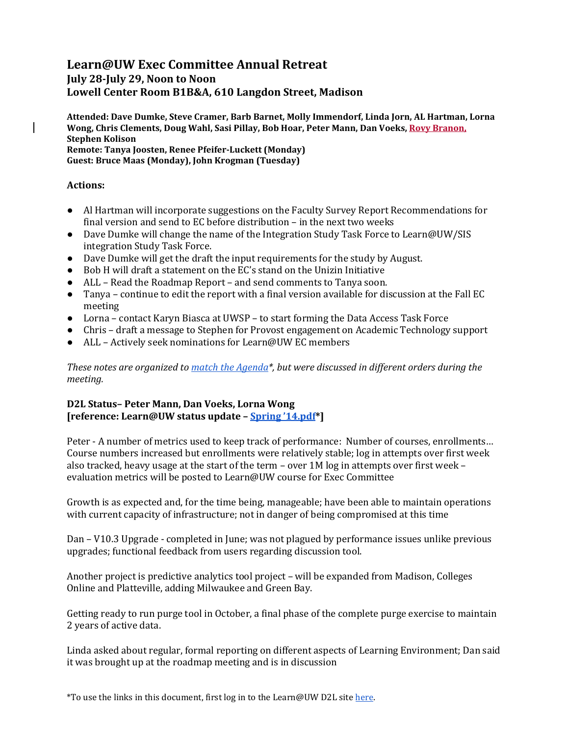# **Learn@UW Exec Committee Annual Retreat**

**July 28-July 29, Noon to Noon Lowell Center Room B1B&A, 610 Langdon Street, Madison**

**Attended: Dave Dumke, Steve Cramer, Barb Barnet, Molly Immendorf, Linda Jorn, AL Hartman, Lorna Wong, Chris Clements, Doug Wahl, Sasi Pillay, Bob Hoar, Peter Mann, Dan Voeks, Rovy Branon, Stephen Kolison Remote: Tanya Joosten, Renee Pfeifer-Luckett (Monday) Guest: Bruce Maas (Monday), John Krogman (Tuesday)**

# **Actions:**

- Al Hartman will incorporate suggestions on the Faculty Survey Report Recommendations for final version and send to EC before distribution – in the next two weeks
- Dave Dumke will change the name of the Integration Study Task Force to Learn@UW/SIS integration Study Task Force.
- Dave Dumke will get the draft the input requirements for the study by August.
- Bob H will draft a statement on the EC's stand on the Unizin Initiative
- ALL Read the Roadmap Report and send comments to Tanya soon.
- Tanya continue to edit the report with a final version available for discussion at the Fall EC meeting
- Lorna contact Karyn Biasca at UWSP to start forming the Data Access Task Force
- Chris draft a message to Stephen for Provost engagement on Academic Technology support
- ALL Actively seek nominations for Learn@UW EC members

*These notes are organized to [match the Agenda\\*](https://uwsystem.courses.wisconsin.edu/d2l/le/content/1017696/viewContent/15139158/View), but were discussed in different orders during the meeting.* 

# **D2L Status– Peter Mann, Dan Voeks, Lorna Wong [reference: Learn@UW status update – [Spring '14.pdf\\*](https://uwsystem.courses.wisconsin.edu/d2l/le/content/1017696/viewContent/15139160/View)]**

Peter - A number of metrics used to keep track of performance: Number of courses, enrollments… Course numbers increased but enrollments were relatively stable; log in attempts over first week also tracked, heavy usage at the start of the term – over 1M log in attempts over first week – evaluation metrics will be posted to Learn@UW course for Exec Committee

Growth is as expected and, for the time being, manageable; have been able to maintain operations with current capacity of infrastructure; not in danger of being compromised at this time

Dan – V10.3 Upgrade - completed in June; was not plagued by performance issues unlike previous upgrades; functional feedback from users regarding discussion tool.

Another project is predictive analytics tool project – will be expanded from Madison, Colleges Online and Platteville, adding Milwaukee and Green Bay.

Getting ready to run purge tool in October, a final phase of the complete purge exercise to maintain 2 years of active data.

Linda asked about regular, formal reporting on different aspects of Learning Environment; Dan said it was brought up at the roadmap meeting and is in discussion

\*To use the links in this document, first log in to the Learn@UW D2L sit[e here.](https://uwsystem.courses.wisconsin.edu/Shibboleth.sso/WAYF?target=https://uwsystem.courses.wisconsin.edu/d2l/shibbolethSSO/deepLinkLogin.d2l)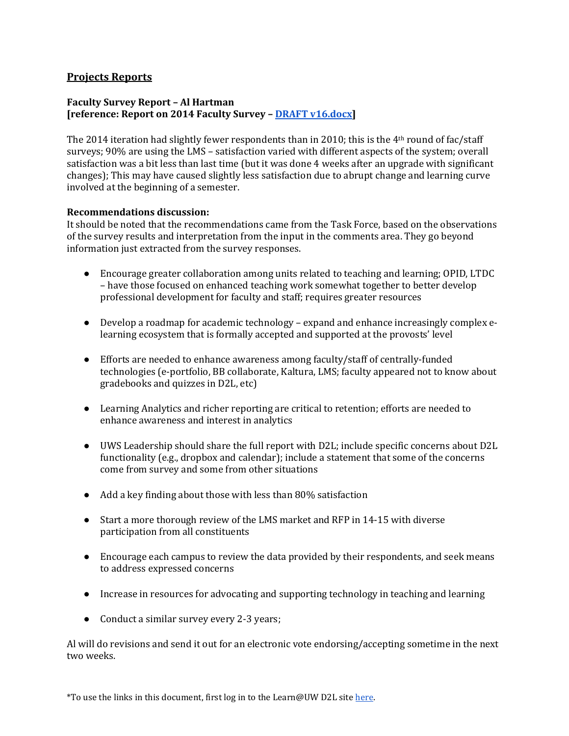# **Projects Reports**

# **Faculty Survey Report – Al Hartman [reference: Report on 2014 Faculty Survey – [DRAFT v16.docx\]](https://uwsystem.courses.wisconsin.edu/d2l/le/content/1017696/viewContent/15139161/View)**

The 2014 iteration had slightly fewer respondents than in 2010; this is the 4<sup>th</sup> round of fac/staff surveys; 90% are using the LMS – satisfaction varied with different aspects of the system; overall satisfaction was a bit less than last time (but it was done 4 weeks after an upgrade with significant changes); This may have caused slightly less satisfaction due to abrupt change and learning curve involved at the beginning of a semester.

#### **Recommendations discussion:**

It should be noted that the recommendations came from the Task Force, based on the observations of the survey results and interpretation from the input in the comments area. They go beyond information just extracted from the survey responses.

- Encourage greater collaboration among units related to teaching and learning; OPID, LTDC – have those focused on enhanced teaching work somewhat together to better develop professional development for faculty and staff; requires greater resources
- Develop a roadmap for academic technology expand and enhance increasingly complex elearning ecosystem that is formally accepted and supported at the provosts' level
- Efforts are needed to enhance awareness among faculty/staff of centrally-funded technologies (e-portfolio, BB collaborate, Kaltura, LMS; faculty appeared not to know about gradebooks and quizzes in D2L, etc)
- Learning Analytics and richer reporting are critical to retention; efforts are needed to enhance awareness and interest in analytics
- UWS Leadership should share the full report with D2L; include specific concerns about D2L functionality (e.g., dropbox and calendar); include a statement that some of the concerns come from survey and some from other situations
- Add a key finding about those with less than 80% satisfaction
- Start a more thorough review of the LMS market and RFP in 14-15 with diverse participation from all constituents
- Encourage each campus to review the data provided by their respondents, and seek means to address expressed concerns
- Increase in resources for advocating and supporting technology in teaching and learning
- Conduct a similar survey every 2-3 years;

Al will do revisions and send it out for an electronic vote endorsing/accepting sometime in the next two weeks.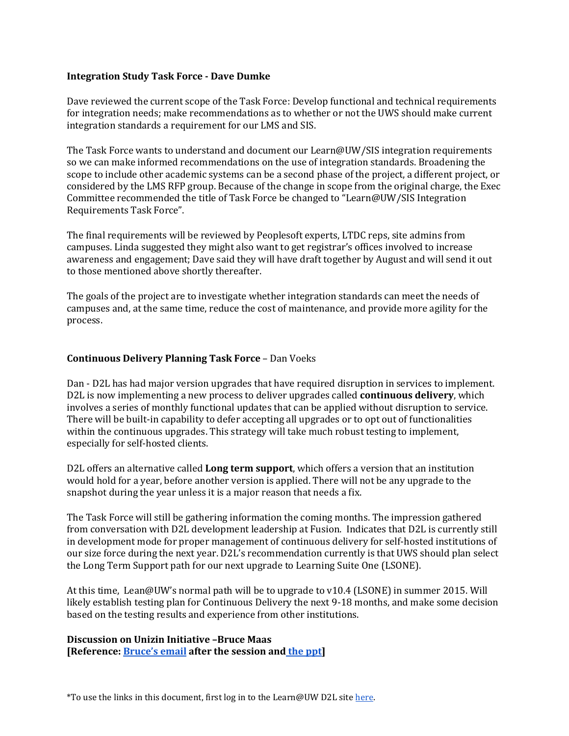# **Integration Study Task Force - Dave Dumke**

Dave reviewed the current scope of the Task Force: Develop functional and technical requirements for integration needs; make recommendations as to whether or not the UWS should make current integration standards a requirement for our LMS and SIS.

The Task Force wants to understand and document our Learn@UW/SIS integration requirements so we can make informed recommendations on the use of integration standards. Broadening the scope to include other academic systems can be a second phase of the project, a different project, or considered by the LMS RFP group. Because of the change in scope from the original charge, the Exec Committee recommended the title of Task Force be changed to "Learn@UW/SIS Integration Requirements Task Force".

The final requirements will be reviewed by Peoplesoft experts, LTDC reps, site admins from campuses. Linda suggested they might also want to get registrar's offices involved to increase awareness and engagement; Dave said they will have draft together by August and will send it out to those mentioned above shortly thereafter.

The goals of the project are to investigate whether integration standards can meet the needs of campuses and, at the same time, reduce the cost of maintenance, and provide more agility for the process.

# **Continuous Delivery Planning Task Force** – Dan Voeks

Dan - D2L has had major version upgrades that have required disruption in services to implement. D2L is now implementing a new process to deliver upgrades called **continuous delivery**, which involves a series of monthly functional updates that can be applied without disruption to service. There will be built-in capability to defer accepting all upgrades or to opt out of functionalities within the continuous upgrades. This strategy will take much robust testing to implement, especially for self-hosted clients.

D2L offers an alternative called **Long term support**, which offers a version that an institution would hold for a year, before another version is applied. There will not be any upgrade to the snapshot during the year unless it is a major reason that needs a fix.

The Task Force will still be gathering information the coming months. The impression gathered from conversation with D2L development leadership at Fusion. Indicates that D2L is currently still in development mode for proper management of continuous delivery for self-hosted institutions of our size force during the next year. D2L's recommendation currently is that UWS should plan select the Long Term Support path for our next upgrade to Learning Suite One (LSONE).

At this time, Lean@UW's normal path will be to upgrade to v10.4 (LSONE) in summer 2015. Will likely establish testing plan for Continuous Delivery the next 9-18 months, and make some decision based on the testing results and experience from other institutions.

# **Discussion on Unizin Initiative –Bruce Maas [Reference[: Bruce's email](https://docs.google.com/document/d/173hlV9WfypLxouwMMvWNwQCbBTaDC8y_HYuS9bEaTPY/edit?usp=sharing) after the session and [the ppt\]](https://docs.google.com/presentation/d/1YDoiS-Lo0bFRBpLluYTgTPlt1hkXz87yHIUwm23iQHY/edit?usp=sharing)**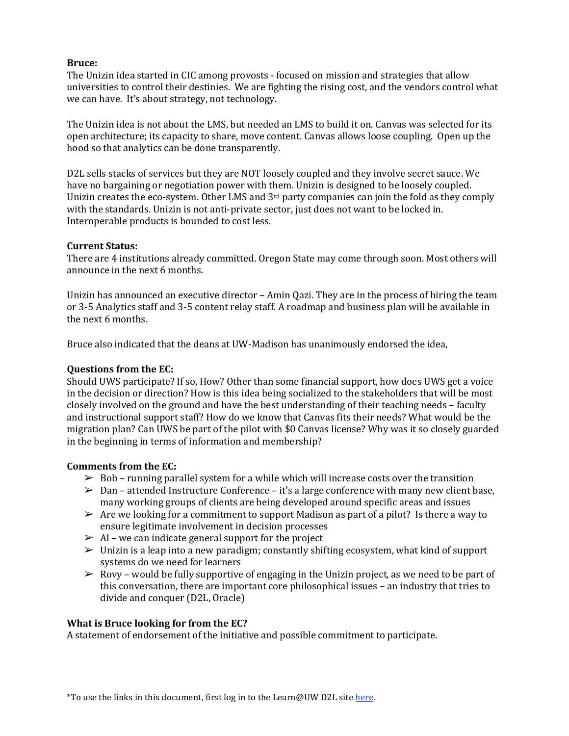# **Bruce:**

The Unizin idea started in CIC among provosts - focused on mission and strategies that allow universities to control their destinies. We are fighting the rising cost, and the vendors control what we can have. It's about strategy, not technology.

The Unizin idea is not about the LMS, but needed an LMS to build it on. Canvas was selected for its open architecture; its capacity to share, move content. Canvas allows loose coupling. Open up the hood so that analytics can be done transparently.

D2L sells stacks of services but they are NOT loosely coupled and they involve secret sauce. We have no bargaining or negotiation power with them. Unizin is designed to be loosely coupled. Unizin creates the eco-system. Other LMS and 3rd party companies can join the fold as they comply with the standards. Unizin is not anti-private sector, just does not want to be locked in. Interoperable products is bounded to cost less.

#### **Current Status:**

There are 4 institutions already committed. Oregon State may come through soon. Most others will announce in the next 6 months.

Unizin has announced an executive director – Amin Qazi. They are in the process of hiring the team or 3-5 Analytics staff and 3-5 content relay staff. A roadmap and business plan will be available in the next 6 months.

Bruce also indicated that the deans at UW-Madison has unanimously endorsed the idea,

## **Questions from the EC:**

Should UWS participate? If so, How? Other than some financial support, how does UWS get a voice in the decision or direction? How is this idea being socialized to the stakeholders that will be most closely involved on the ground and have the best understanding of their teaching needs – faculty and instructional support staff? How do we know that Canvas fits their needs? What would be the migration plan? Can UWS be part of the pilot with \$0 Canvas license? Why was it so closely guarded in the beginning in terms of information and membership?

#### **Comments from the EC:**

- $\geq$  Bob running parallel system for a while which will increase costs over the transition
- $\triangleright$  Dan attended Instructure Conference it's a large conference with many new client base, many working groups of clients are being developed around specific areas and issues
- $\triangleright$  Are we looking for a commitment to support Madison as part of a pilot? Is there a way to ensure legitimate involvement in decision processes
- $\triangleright$  Al we can indicate general support for the project
- ➢ Unizin is a leap into a new paradigm; constantly shifting ecosystem, what kind of support systems do we need for learners
- $\triangleright$  Rovy would be fully supportive of engaging in the Unizin project, as we need to be part of this conversation, there are important core philosophical issues – an industry that tries to divide and conquer (D2L, Oracle)

# **What is Bruce looking for from the EC?**

A statement of endorsement of the initiative and possible commitment to participate.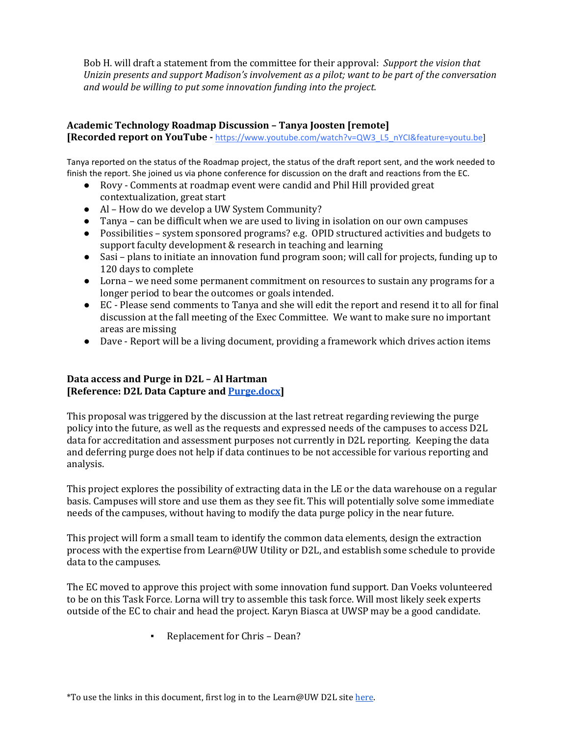Bob H. will draft a statement from the committee for their approval: *Support the vision that Unizin presents and support Madison's involvement as a pilot; want to be part of the conversation and would be willing to put some innovation funding into the project.*

#### **Academic Technology Roadmap Discussion – Tanya Joosten [remote] [Recorded report on YouTube -** [https://www.youtube.com/watch?v=QW3\\_L5\\_nYCI&feature=youtu.be\]](https://www.youtube.com/watch?v=QW3_L5_nYCI&feature=youtu.be)

Tanya reported on the status of the Roadmap project, the status of the draft report sent, and the work needed to finish the report. She joined us via phone conference for discussion on the draft and reactions from the EC.

- Rovy Comments at roadmap event were candid and Phil Hill provided great contextualization, great start
- Al How do we develop a UW System Community?
- Tanya can be difficult when we are used to living in isolation on our own campuses
- Possibilities system sponsored programs? e.g. OPID structured activities and budgets to support faculty development & research in teaching and learning
- Sasi plans to initiate an innovation fund program soon; will call for projects, funding up to 120 days to complete
- Lorna we need some permanent commitment on resources to sustain any programs for a longer period to bear the outcomes or goals intended.
- EC Please send comments to Tanya and she will edit the report and resend it to all for final discussion at the fall meeting of the Exec Committee. We want to make sure no important areas are missing
- Dave Report will be a living document, providing a framework which drives action items

# **Data access and Purge in D2L – Al Hartman [Reference: D2L Data Capture an[d Purge.docx\]](https://uwsystem.courses.wisconsin.edu/d2l/le/content/1017696/viewContent/15139169/View)**

This proposal was triggered by the discussion at the last retreat regarding reviewing the purge policy into the future, as well as the requests and expressed needs of the campuses to access D2L data for accreditation and assessment purposes not currently in D2L reporting. Keeping the data and deferring purge does not help if data continues to be not accessible for various reporting and analysis.

This project explores the possibility of extracting data in the LE or the data warehouse on a regular basis. Campuses will store and use them as they see fit. This will potentially solve some immediate needs of the campuses, without having to modify the data purge policy in the near future.

This project will form a small team to identify the common data elements, design the extraction process with the expertise from Learn@UW Utility or D2L, and establish some schedule to provide data to the campuses.

The EC moved to approve this project with some innovation fund support. Dan Voeks volunteered to be on this Task Force. Lorna will try to assemble this task force. Will most likely seek experts outside of the EC to chair and head the project. Karyn Biasca at UWSP may be a good candidate.

▪ Replacement for Chris – Dean?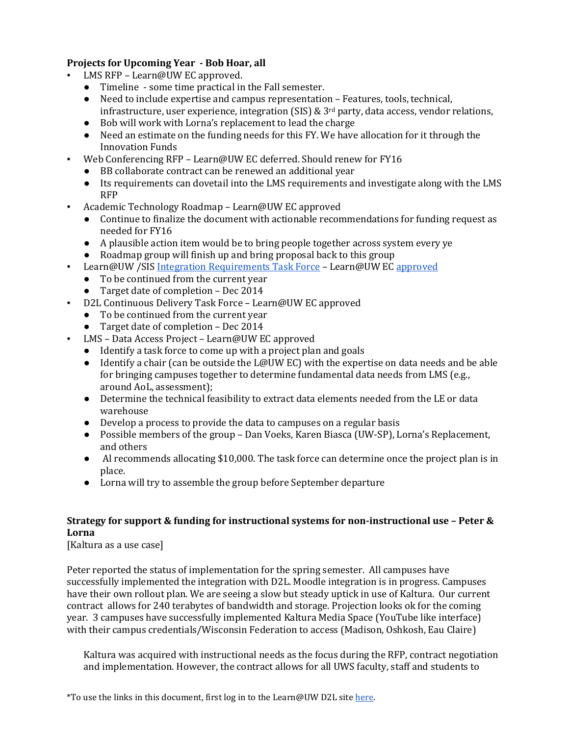# **Projects for Upcoming Year - Bob Hoar, all**

- LMS RFP Learn@UW EC approved.
	- Timeline some time practical in the Fall semester.
	- Need to include expertise and campus representation Features, tools, technical, infrastructure, user experience, integration (SIS) &  $3<sup>rd</sup>$  party, data access, vendor relations,
	- Bob will work with Lorna's replacement to lead the charge
	- Need an estimate on the funding needs for this FY. We have allocation for it through the Innovation Funds
- Web Conferencing RFP Learn@UW EC deferred. Should renew for FY16
	- BB collaborate contract can be renewed an additional year
	- Its requirements can dovetail into the LMS requirements and investigate along with the LMS RFP
- Academic Technology Roadmap Learn@UW EC approved
	- Continue to finalize the document with actionable recommendations for funding request as needed for FY16
	- A plausible action item would be to bring people together across system every ye
	- Roadmap group will finish up and bring proposal back to this group
- Learn@UW /SIS [Integration Requirements Task Force](https://uwsystem.courses.wisconsin.edu/d2l/le/content/1017696/viewContent/15139165/View) Learn@UW E[C approved](https://uwsystem.courses.wisconsin.edu/d2l/le/content/1017696/viewContent/15139164/View)
	- To be continued from the current year
	- Target date of completion Dec 2014
- D2L Continuous Delivery Task Force Learn@UW EC approved
	- To be continued from the current year
	- Target date of completion Dec 2014
- LMS Data Access Project Learn@UW EC approved
	- Identify a task force to come up with a project plan and goals
	- Identify a chair (can be outside the L@UW EC) with the expertise on data needs and be able for bringing campuses together to determine fundamental data needs from LMS (e.g., around AoL, assessment);
	- Determine the technical feasibility to extract data elements needed from the LE or data warehouse
	- Develop a process to provide the data to campuses on a regular basis
	- Possible members of the group Dan Voeks, Karen Biasca (UW-SP), Lorna's Replacement, and others
	- Al recommends allocating \$10,000. The task force can determine once the project plan is in place.
	- Lorna will try to assemble the group before September departure

# **Strategy for support & funding for instructional systems for non-instructional use – Peter & Lorna**

[Kaltura as a use case]

Peter reported the status of implementation for the spring semester. All campuses have successfully implemented the integration with D2L. Moodle integration is in progress. Campuses have their own rollout plan. We are seeing a slow but steady uptick in use of Kaltura. Our current contract allows for 240 terabytes of bandwidth and storage. Projection looks ok for the coming year. 3 campuses have successfully implemented Kaltura Media Space (YouTube like interface) with their campus credentials/Wisconsin Federation to access (Madison, Oshkosh, Eau Claire)

Kaltura was acquired with instructional needs as the focus during the RFP, contract negotiation and implementation. However, the contract allows for all UWS faculty, staff and students to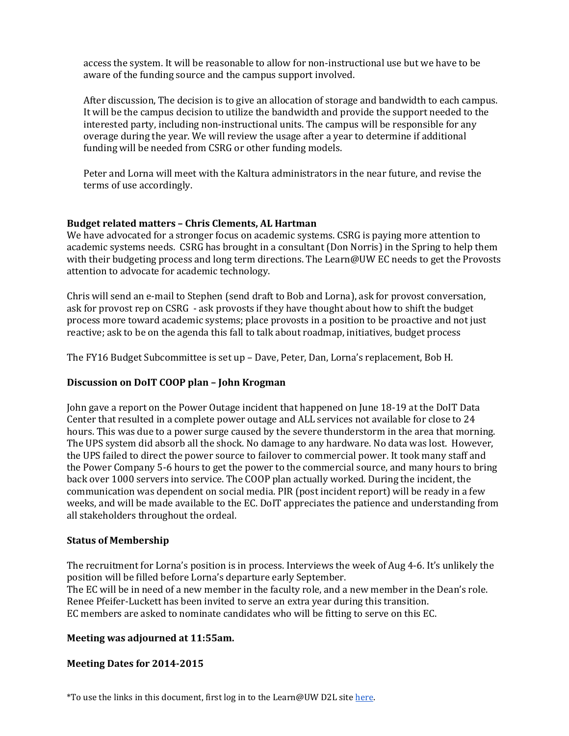access the system. It will be reasonable to allow for non-instructional use but we have to be aware of the funding source and the campus support involved.

After discussion, The decision is to give an allocation of storage and bandwidth to each campus. It will be the campus decision to utilize the bandwidth and provide the support needed to the interested party, including non-instructional units. The campus will be responsible for any overage during the year. We will review the usage after a year to determine if additional funding will be needed from CSRG or other funding models.

Peter and Lorna will meet with the Kaltura administrators in the near future, and revise the terms of use accordingly.

# **Budget related matters – Chris Clements, AL Hartman**

We have advocated for a stronger focus on academic systems. CSRG is paying more attention to academic systems needs. CSRG has brought in a consultant (Don Norris) in the Spring to help them with their budgeting process and long term directions. The Learn@UW EC needs to get the Provosts attention to advocate for academic technology.

Chris will send an e-mail to Stephen (send draft to Bob and Lorna), ask for provost conversation, ask for provost rep on CSRG - ask provosts if they have thought about how to shift the budget process more toward academic systems; place provosts in a position to be proactive and not just reactive; ask to be on the agenda this fall to talk about roadmap, initiatives, budget process

The FY16 Budget Subcommittee is set up – Dave, Peter, Dan, Lorna's replacement, Bob H.

#### **Discussion on DoIT COOP plan – John Krogman**

John gave a report on the Power Outage incident that happened on June 18-19 at the DoIT Data Center that resulted in a complete power outage and ALL services not available for close to 24 hours. This was due to a power surge caused by the severe thunderstorm in the area that morning. The UPS system did absorb all the shock. No damage to any hardware. No data was lost. However, the UPS failed to direct the power source to failover to commercial power. It took many staff and the Power Company 5-6 hours to get the power to the commercial source, and many hours to bring back over 1000 servers into service. The COOP plan actually worked. During the incident, the communication was dependent on social media. PIR (post incident report) will be ready in a few weeks, and will be made available to the EC. DoIT appreciates the patience and understanding from all stakeholders throughout the ordeal.

#### **Status of Membership**

The recruitment for Lorna's position is in process. Interviews the week of Aug 4-6. It's unlikely the position will be filled before Lorna's departure early September. The EC will be in need of a new member in the faculty role, and a new member in the Dean's role. Renee Pfeifer-Luckett has been invited to serve an extra year during this transition. EC members are asked to nominate candidates who will be fitting to serve on this EC.

# **Meeting was adjourned at 11:55am.**

#### **Meeting Dates for 2014-2015**

\*To use the links in this document, first log in to the Learn@UW D2L sit[e here.](https://uwsystem.courses.wisconsin.edu/Shibboleth.sso/WAYF?target=https://uwsystem.courses.wisconsin.edu/d2l/shibbolethSSO/deepLinkLogin.d2l)